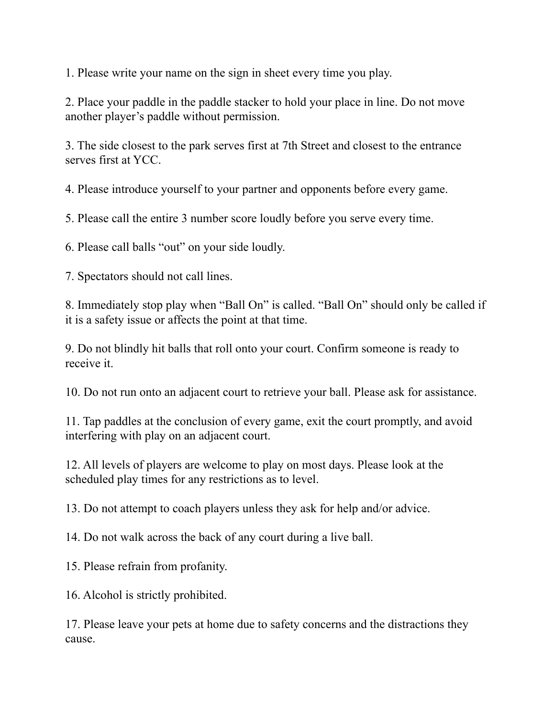1. Please write your name on the sign in sheet every time you play.

2. Place your paddle in the paddle stacker to hold your place in line. Do not move another player's paddle without permission.

3. The side closest to the park serves first at 7th Street and closest to the entrance serves first at YCC.

4. Please introduce yourself to your partner and opponents before every game.

5. Please call the entire 3 number score loudly before you serve every time.

6. Please call balls "out" on your side loudly.

7. Spectators should not call lines.

8. Immediately stop play when "Ball On" is called. "Ball On" should only be called if it is a safety issue or affects the point at that time.

9. Do not blindly hit balls that roll onto your court. Confirm someone is ready to receive it.

10. Do not run onto an adjacent court to retrieve your ball. Please ask for assistance.

11. Tap paddles at the conclusion of every game, exit the court promptly, and avoid interfering with play on an adjacent court.

12. All levels of players are welcome to play on most days. Please look at the scheduled play times for any restrictions as to level.

13. Do not attempt to coach players unless they ask for help and/or advice.

14. Do not walk across the back of any court during a live ball.

15. Please refrain from profanity.

16. Alcohol is strictly prohibited.

17. Please leave your pets at home due to safety concerns and the distractions they cause.